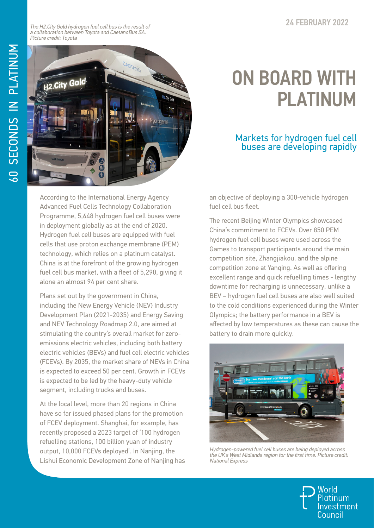The H2.City Gold hydrogen fuel cell bus is the result of a collaboration between Toyota and CaetanoBus SA. Picture credit: Toyota



## ON BOARD WITH PLATINUM

## Markets for hydrogen fuel cell buses are developing rapidly

According to the International Energy Agency Advanced Fuel Cells Technology Collaboration Programme, 5,648 hydrogen fuel cell buses were in deployment globally as at the end of 2020. Hydrogen fuel cell buses are equipped with fuel cells that use proton exchange membrane (PEM) technology, which relies on a platinum catalyst. China is at the forefront of the growing hydrogen fuel cell bus market, with a fleet of 5,290, giving it alone an almost 94 per cent share.

Plans set out by the government in China, including the New Energy Vehicle (NEV) Industry Development Plan (2021-2035) and Energy Saving and NEV Technology Roadmap 2.0, are aimed at stimulating the country's overall market for zeroemissions electric vehicles, including both battery electric vehicles (BEVs) and fuel cell electric vehicles (FCEVs). By 2035, the market share of NEVs in China is expected to exceed 50 per cent. Growth in FCEVs is expected to be led by the heavy-duty vehicle segment, including trucks and buses.

At the local level, more than 20 regions in China have so far issued phased plans for the promotion of FCEV deployment. Shanghai, for example, has recently proposed a 2023 target of '100 hydrogen refuelling stations, 100 billion yuan of industry output, 10,000 FCEVs deployed'. In Nanjing, the Lishui Economic Development Zone of Nanjing has an objective of deploying a 300-vehicle hydrogen fuel cell bus fleet.

The recent Beijing Winter Olympics showcased China's commitment to FCEVs. Over 850 PEM hydrogen fuel cell buses were used across the Games to transport participants around the main competition site, Zhangjiakou, and the alpine competition zone at Yanqing. As well as offering excellent range and quick refuelling times - lengthy downtime for recharging is unnecessary, unlike a BEV – hydrogen fuel cell buses are also well suited to the cold conditions experienced during the Winter Olympics; the battery performance in a BEV is affected by low temperatures as these can cause the battery to drain more quickly.



Hydrogen-powered fuel cell buses are being deployed across the UK's West Midlands region for the first time. Picture credit: National Express